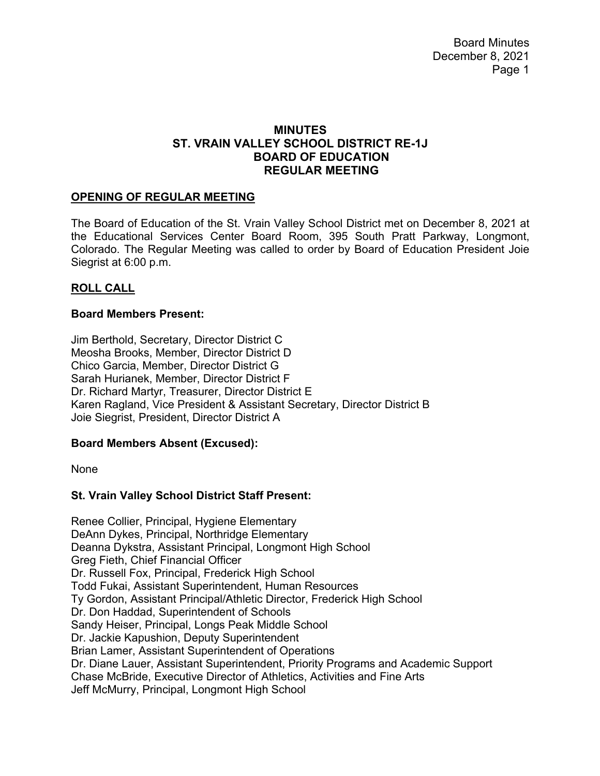Board Minutes December 8, 2021 Page 1

### **MINUTES ST. VRAIN VALLEY SCHOOL DISTRICT RE-1J BOARD OF EDUCATION REGULAR MEETING**

### **OPENING OF REGULAR MEETING**

The Board of Education of the St. Vrain Valley School District met on December 8, 2021 at the Educational Services Center Board Room, 395 South Pratt Parkway, Longmont, Colorado. The Regular Meeting was called to order by Board of Education President Joie Siegrist at 6:00 p.m.

#### **ROLL CALL**

#### **Board Members Present:**

Jim Berthold, Secretary, Director District C Meosha Brooks, Member, Director District D Chico Garcia, Member, Director District G Sarah Hurianek, Member, Director District F Dr. Richard Martyr, Treasurer, Director District E Karen Ragland, Vice President & Assistant Secretary, Director District B Joie Siegrist, President, Director District A

#### **Board Members Absent (Excused):**

None

### **St. Vrain Valley School District Staff Present:**

Renee Collier, Principal, Hygiene Elementary DeAnn Dykes, Principal, Northridge Elementary Deanna Dykstra, Assistant Principal, Longmont High School Greg Fieth, Chief Financial Officer Dr. Russell Fox, Principal, Frederick High School Todd Fukai, Assistant Superintendent, Human Resources Ty Gordon, Assistant Principal/Athletic Director, Frederick High School Dr. Don Haddad, Superintendent of Schools Sandy Heiser, Principal, Longs Peak Middle School Dr. Jackie Kapushion, Deputy Superintendent Brian Lamer, Assistant Superintendent of Operations Dr. Diane Lauer, Assistant Superintendent, Priority Programs and Academic Support Chase McBride, Executive Director of Athletics, Activities and Fine Arts Jeff McMurry, Principal, Longmont High School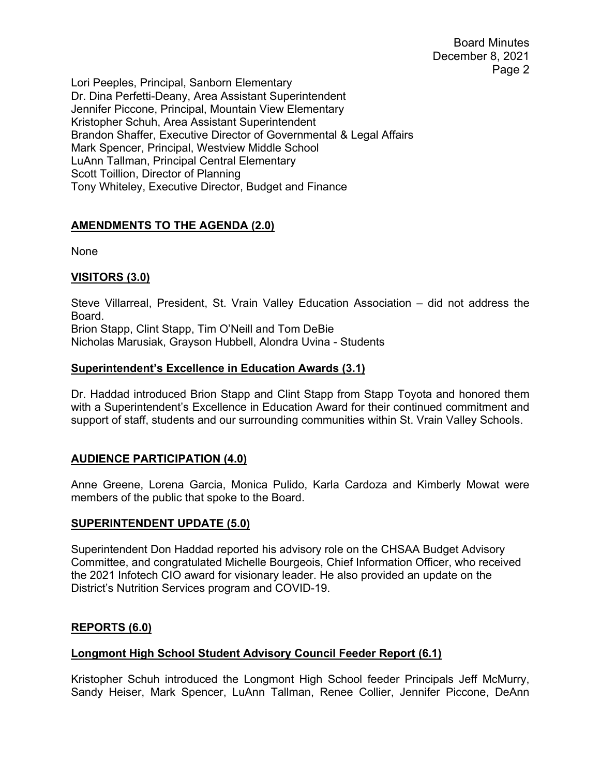Board Minutes December 8, 2021 Page 2

Lori Peeples, Principal, Sanborn Elementary Dr. Dina Perfetti-Deany, Area Assistant Superintendent Jennifer Piccone, Principal, Mountain View Elementary Kristopher Schuh, Area Assistant Superintendent Brandon Shaffer, Executive Director of Governmental & Legal Affairs Mark Spencer, Principal, Westview Middle School LuAnn Tallman, Principal Central Elementary Scott Toillion, Director of Planning Tony Whiteley, Executive Director, Budget and Finance

### **AMENDMENTS TO THE AGENDA (2.0)**

None

### **VISITORS (3.0)**

Steve Villarreal, President, St. Vrain Valley Education Association – did not address the Board. Brion Stapp, Clint Stapp, Tim O'Neill and Tom DeBie Nicholas Marusiak, Grayson Hubbell, Alondra Uvina - Students

### **Superintendent's Excellence in Education Awards (3.1)**

Dr. Haddad introduced Brion Stapp and Clint Stapp from Stapp Toyota and honored them with a Superintendent's Excellence in Education Award for their continued commitment and support of staff, students and our surrounding communities within St. Vrain Valley Schools.

## **AUDIENCE PARTICIPATION (4.0)**

Anne Greene, Lorena Garcia, Monica Pulido, Karla Cardoza and Kimberly Mowat were members of the public that spoke to the Board.

### **SUPERINTENDENT UPDATE (5.0)**

Superintendent Don Haddad reported his advisory role on the CHSAA Budget Advisory Committee, and congratulated Michelle Bourgeois, Chief Information Officer, who received the 2021 Infotech CIO award for visionary leader. He also provided an update on the District's Nutrition Services program and COVID-19.

### **REPORTS (6.0)**

### **Longmont High School Student Advisory Council Feeder Report (6.1)**

Kristopher Schuh introduced the Longmont High School feeder Principals Jeff McMurry, Sandy Heiser, Mark Spencer, LuAnn Tallman, Renee Collier, Jennifer Piccone, DeAnn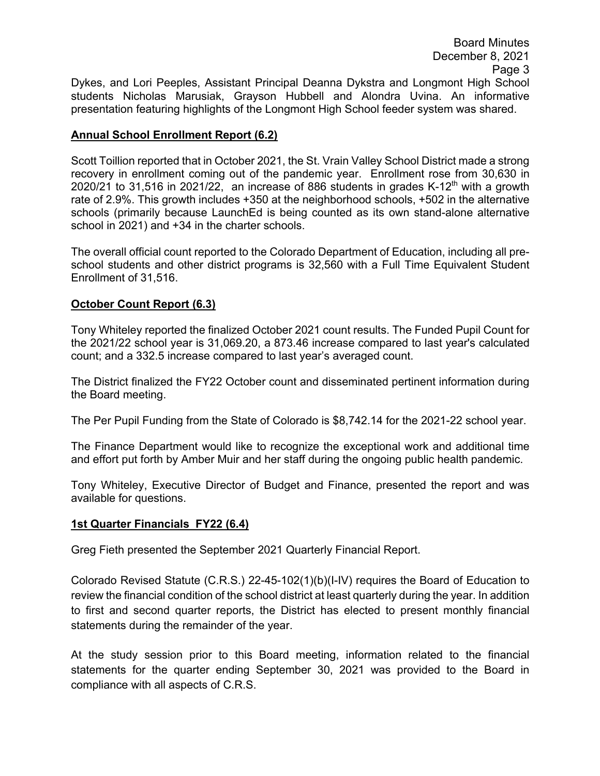## **Annual School Enrollment Report (6.2)**

Scott Toillion reported that in October 2021, the St. Vrain Valley School District made a strong recovery in enrollment coming out of the pandemic year. Enrollment rose from 30,630 in 2020/21 to 31,516 in 2021/22, an increase of 886 students in grades K-12<sup>th</sup> with a growth rate of 2.9%. This growth includes +350 at the neighborhood schools, +502 in the alternative schools (primarily because LaunchEd is being counted as its own stand-alone alternative school in 2021) and +34 in the charter schools.

The overall official count reported to the Colorado Department of Education, including all preschool students and other district programs is 32,560 with a Full Time Equivalent Student Enrollment of 31,516.

# **October Count Report (6.3)**

Tony Whiteley reported the finalized October 2021 count results. The Funded Pupil Count for the 2021/22 school year is 31,069.20, a 873.46 increase compared to last year's calculated count; and a 332.5 increase compared to last year's averaged count.

The District finalized the FY22 October count and disseminated pertinent information during the Board meeting.

The Per Pupil Funding from the State of Colorado is \$8,742.14 for the 2021-22 school year.

The Finance Department would like to recognize the exceptional work and additional time and effort put forth by Amber Muir and her staff during the ongoing public health pandemic.

Tony Whiteley, Executive Director of Budget and Finance, presented the report and was available for questions.

## **1st Quarter Financials FY22 (6.4)**

Greg Fieth presented the September 2021 Quarterly Financial Report.

Colorado Revised Statute (C.R.S.) 22-45-102(1)(b)(I-IV) requires the Board of Education to review the financial condition of the school district at least quarterly during the year. In addition to first and second quarter reports, the District has elected to present monthly financial statements during the remainder of the year.

At the study session prior to this Board meeting, information related to the financial statements for the quarter ending September 30, 2021 was provided to the Board in compliance with all aspects of C.R.S.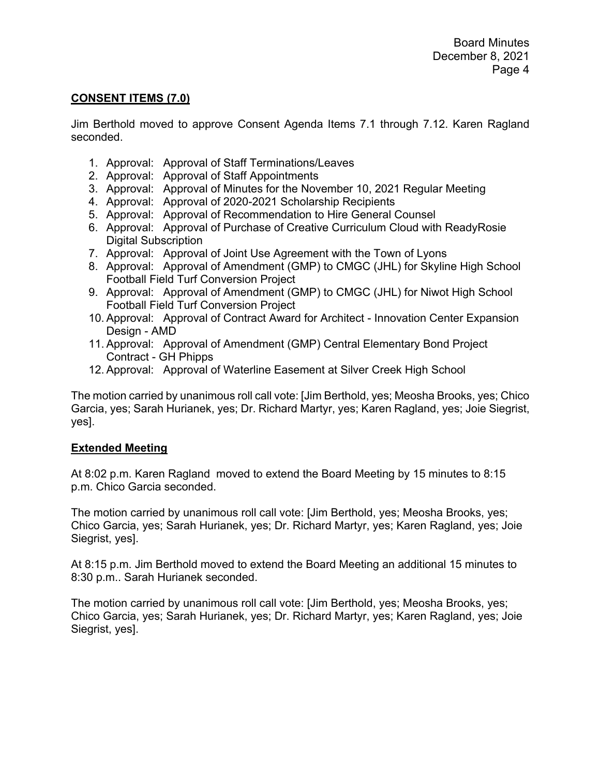#### **CONSENT ITEMS (7.0)**

Jim Berthold moved to approve Consent Agenda Items 7.1 through 7.12. Karen Ragland seconded.

- 1. Approval: Approval of Staff Terminations/Leaves
- 2. Approval: Approval of Staff Appointments
- 3. Approval: Approval of Minutes for the November 10, 2021 Regular Meeting
- 4. Approval: Approval of 2020-2021 Scholarship Recipients
- 5. Approval: Approval of Recommendation to Hire General Counsel
- 6. Approval: Approval of Purchase of Creative Curriculum Cloud with ReadyRosie Digital Subscription
- 7. Approval: Approval of Joint Use Agreement with the Town of Lyons
- 8. Approval: Approval of Amendment (GMP) to CMGC (JHL) for Skyline High School Football Field Turf Conversion Project
- 9. Approval: Approval of Amendment (GMP) to CMGC (JHL) for Niwot High School Football Field Turf Conversion Project
- 10. Approval: Approval of Contract Award for Architect Innovation Center Expansion Design - AMD
- 11. Approval: Approval of Amendment (GMP) Central Elementary Bond Project Contract - GH Phipps
- 12. Approval: Approval of Waterline Easement at Silver Creek High School

The motion carried by unanimous roll call vote: [Jim Berthold, yes; Meosha Brooks, yes; Chico Garcia, yes; Sarah Hurianek, yes; Dr. Richard Martyr, yes; Karen Ragland, yes; Joie Siegrist, yes].

### **Extended Meeting**

At 8:02 p.m. Karen Ragland moved to extend the Board Meeting by 15 minutes to 8:15 p.m. Chico Garcia seconded.

The motion carried by unanimous roll call vote: [Jim Berthold, yes; Meosha Brooks, yes; Chico Garcia, yes; Sarah Hurianek, yes; Dr. Richard Martyr, yes; Karen Ragland, yes; Joie Siegrist, yes].

At 8:15 p.m. Jim Berthold moved to extend the Board Meeting an additional 15 minutes to 8:30 p.m.. Sarah Hurianek seconded.

The motion carried by unanimous roll call vote: [Jim Berthold, yes; Meosha Brooks, yes; Chico Garcia, yes; Sarah Hurianek, yes; Dr. Richard Martyr, yes; Karen Ragland, yes; Joie Siegrist, yes].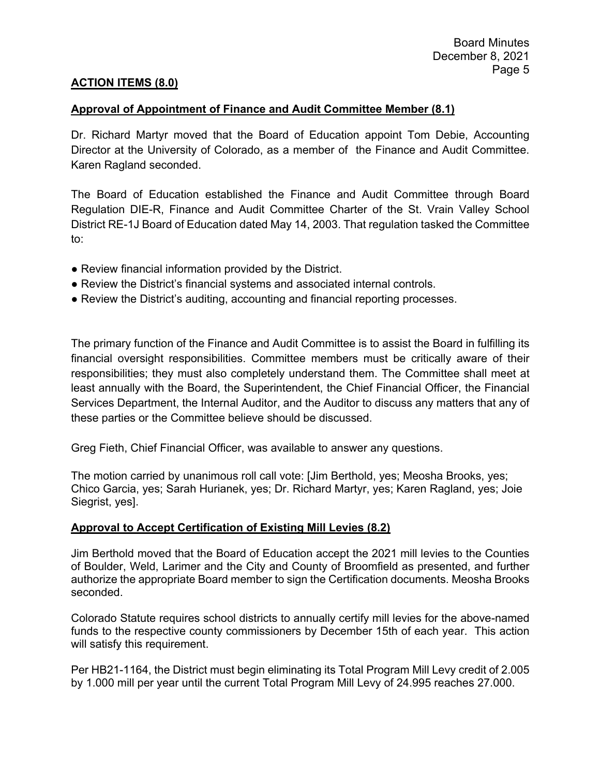### **ACTION ITEMS (8.0)**

### **Approval of Appointment of Finance and Audit Committee Member (8.1)**

Dr. Richard Martyr moved that the Board of Education appoint Tom Debie, Accounting Director at the University of Colorado, as a member of the Finance and Audit Committee. Karen Ragland seconded.

The Board of Education established the Finance and Audit Committee through Board Regulation DIE-R, Finance and Audit Committee Charter of the St. Vrain Valley School District RE-1J Board of Education dated May 14, 2003. That regulation tasked the Committee to:

- Review financial information provided by the District.
- Review the District's financial systems and associated internal controls.
- Review the District's auditing, accounting and financial reporting processes.

The primary function of the Finance and Audit Committee is to assist the Board in fulfilling its financial oversight responsibilities. Committee members must be critically aware of their responsibilities; they must also completely understand them. The Committee shall meet at least annually with the Board, the Superintendent, the Chief Financial Officer, the Financial Services Department, the Internal Auditor, and the Auditor to discuss any matters that any of these parties or the Committee believe should be discussed.

Greg Fieth, Chief Financial Officer, was available to answer any questions.

The motion carried by unanimous roll call vote: [Jim Berthold, yes; Meosha Brooks, yes; Chico Garcia, yes; Sarah Hurianek, yes; Dr. Richard Martyr, yes; Karen Ragland, yes; Joie Siegrist, yes].

### **Approval to Accept Certification of Existing Mill Levies (8.2)**

Jim Berthold moved that the Board of Education accept the 2021 mill levies to the Counties of Boulder, Weld, Larimer and the City and County of Broomfield as presented, and further authorize the appropriate Board member to sign the Certification documents. Meosha Brooks seconded.

Colorado Statute requires school districts to annually certify mill levies for the above-named funds to the respective county commissioners by December 15th of each year. This action will satisfy this requirement.

Per HB21-1164, the District must begin eliminating its Total Program Mill Levy credit of 2.005 by 1.000 mill per year until the current Total Program Mill Levy of 24.995 reaches 27.000.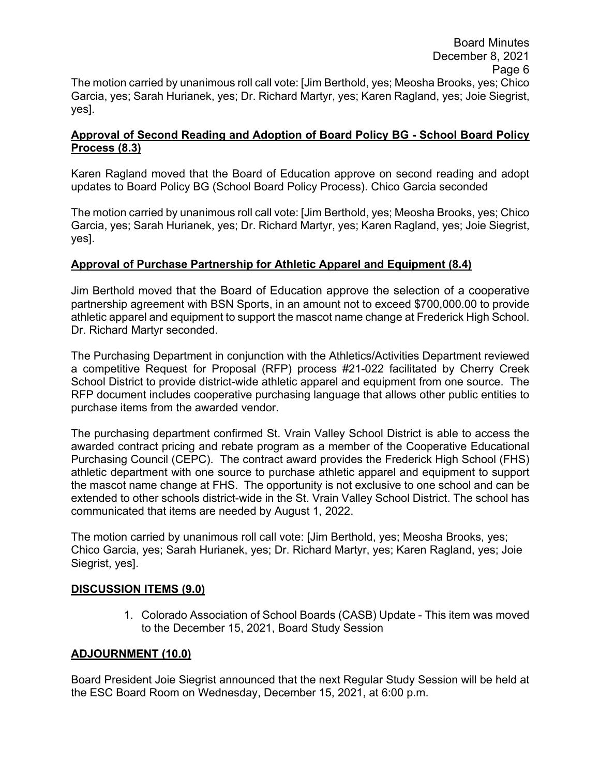# **Approval of Second Reading and Adoption of Board Policy BG - School Board Policy Process (8.3)**

Karen Ragland moved that the Board of Education approve on second reading and adopt updates to Board Policy BG (School Board Policy Process). Chico Garcia seconded

The motion carried by unanimous roll call vote: [Jim Berthold, yes; Meosha Brooks, yes; Chico Garcia, yes; Sarah Hurianek, yes; Dr. Richard Martyr, yes; Karen Ragland, yes; Joie Siegrist, yes].

# **Approval of Purchase Partnership for Athletic Apparel and Equipment (8.4)**

Jim Berthold moved that the Board of Education approve the selection of a cooperative partnership agreement with BSN Sports, in an amount not to exceed \$700,000.00 to provide athletic apparel and equipment to support the mascot name change at Frederick High School. Dr. Richard Martyr seconded.

The Purchasing Department in conjunction with the Athletics/Activities Department reviewed a competitive Request for Proposal (RFP) process #21-022 facilitated by Cherry Creek School District to provide district-wide athletic apparel and equipment from one source. The RFP document includes cooperative purchasing language that allows other public entities to purchase items from the awarded vendor.

The purchasing department confirmed St. Vrain Valley School District is able to access the awarded contract pricing and rebate program as a member of the Cooperative Educational Purchasing Council (CEPC). The contract award provides the Frederick High School (FHS) athletic department with one source to purchase athletic apparel and equipment to support the mascot name change at FHS. The opportunity is not exclusive to one school and can be extended to other schools district-wide in the St. Vrain Valley School District. The school has communicated that items are needed by August 1, 2022.

The motion carried by unanimous roll call vote: [Jim Berthold, yes; Meosha Brooks, yes; Chico Garcia, yes; Sarah Hurianek, yes; Dr. Richard Martyr, yes; Karen Ragland, yes; Joie Siegrist, yes].

## **DISCUSSION ITEMS (9.0)**

1. Colorado Association of School Boards (CASB) Update - This item was moved to the December 15, 2021, Board Study Session

## **ADJOURNMENT (10.0)**

Board President Joie Siegrist announced that the next Regular Study Session will be held at the ESC Board Room on Wednesday, December 15, 2021, at 6:00 p.m.